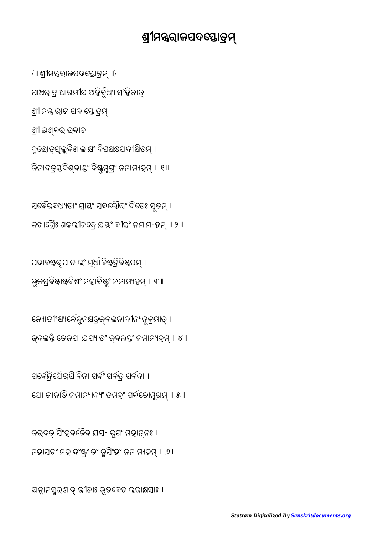ଯନ୍ନାମସ୍ମରଣାଦ୍ ଭୀତାଃ ଭୂତବେତାଲରାକ୍ଷସାଃ ।

ନରବତ୍ ସିଂହବଚ୍ଚୈବ ଯସ୍ୟ ରୂପଂ ମହାମୂନଃ । ମହାସଟଂ ମହାଦଂଷ୍ଟ୍ରଂ ତଂ ନୃସିଂହଂ ନମାମ୍ୟହମ୍ ॥ ୬ ॥

ସର୍ବେନ୍ଦ୍ରିଯୈର୍ପି ବିନା ସର୍ବଂ ସର୍ବତ୍ର ସର୍ବଦା । ଯେ। ଜାନାତି ନମାମ୍ୟାଦ୍ୟଂ ତମହଂ ସର୍ବତୋମୁଖମ୍ ॥ ୫ ॥

ଜ୍ୟୋତୀଂଷ୍ୟର୍କେନ୍ଦୁନକ୍ଷତ୍ରଜ୍ଇନାଦୀନ୍ୟନୁକ୍ରମାତ୍ । ଜ୍ବଲନ୍ତି ତେଜସା ଯସ୍ୟ ତଂ ଜ୍ବଲନ୍ତଂ ନମାମ୍ୟହମ୍ ॥ ୪ ॥

ପଦାବଷ୍ଟବ୍ଧପାତାଲଂ ମୂର୍ଧାବିଷ୍ଟ୍ରତିବିଷ୍ଟପମ୍ । ଭୁଜପ୍ରବିଷ୍ଟାଷ୍ଟଦିଶଂ ମହାବିଷ୍ଟୁଂ ନମାମ୍ୟହମ୍ ॥ ୩॥

ସର୍ବୈର୍ବଧ୍ୟତାଂ ପ୍ରାସ୍ତଂ ସବଲୌଘଂ ଦିତେଃ ସୁତମ୍ । ନଖାଗ୍ୱୈଃ ଶକଲୀଚକେ ଯସ୍ତଂ ବୀର୍ଂ ନମାମ୍ୟହମ୍ ॥ ୨ ॥

ବୃତ୍ତୋତ୍ଫୁଲୁବିଶାଲାକ୍ଷଂ ବିପକ୍ଷକ୍ଷଯଦୀକ୍ଷିତମ୍ । ନିନାଦତ୍ରସ୍ତବିଶ୍ବାଣ୍ଡଂ ବିଷ୍ଟୁମୁଗ୍ରଂ ନମାମ୍ୟହମ୍ ॥ ୧ ॥

ଶ୍ରୀ ଈଶ୍ବର ଉବାଚ -

ଶ୍ରୀ ମନ୍ତ୍ର ରାଜ ପଦ ସ୍ତୋତ୍ରମ୍

ସାଞ୍ଚରାତ୍ର ଆଗମୀଯ ଅହିର୍ବୁଧ୍ୟୁ ସଂହିତାତ୍

{॥ ଶ୍ରୀମନ୍ତ୍ରରାଜପଦସ୍ତୋତ୍ରମ୍ ॥}

## ଶ୍ରୀମନ୍ତରାଜପଦସ୍ତୋତ୍ରମ୍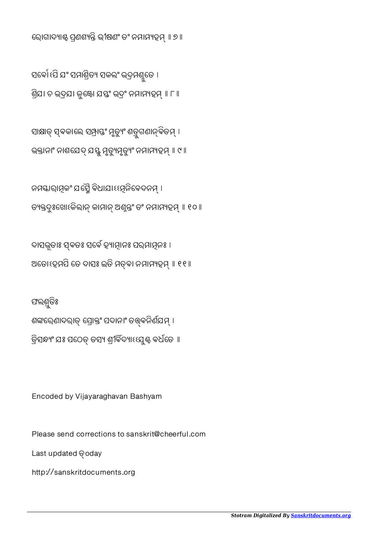http://sanskritdocuments.org

Last updated **@oday** 

ଫଲଶ୍ରତିଃ

Please send corrections to sanskrit@cheerful.com

Encoded by Vijayaraghavan Bashyam

ଶଙ୍କରେଣାଦରାତ୍ ପ୍ରୋକ୍ତଂ ପଦାନାଂ ତତ୍ତ୍ବନିର୍ଣଯମ୍ । ତ୍ରିସନ୍ଧ୍ୟଂ ଯଃ ପଠେତ୍ ତସ୍ୟ ଶ୍ରୀବିଦ୍ୟାଽଽଯୁ୍ଣ୍ଟ ବର୍ଧତେ ॥

ଦାସଭୂତାଃ ସ୍ଵତଃ ସର୍ବେ ହ୍ୟାତ୍ମାନଃ ପର୍ଯାମୂନଃ । ଅତୋହେମପି ତେ ଦାସଃ ଇତି ମତ୍ତା ନମାମ୍ୟହମ୍ ॥ ୧୧ ॥

ନମସ୍କାରାମୂକଂ ଯପ୍ଟୈ ବିଧାଯାଽଽମୂନିବେଦନମ୍ । ତ୍ୟକ୍ତଦୁଃଖୋଽକିଲାନ୍ କାମାନ୍ ଅଣୁନ୍ତଂ ତଂ ନମାମ୍ୟହମ୍ ॥ ୧୦॥

ସାକ୍ଷାତ୍ ସ୍ଵକାଲେ ସ୍ର୍ୟ୍ୟଙ୍କ ମୃତ୍ୟୁଂ ଶବ୍ରୁଗଣାନ୍ବିତମ୍ । ଭକ୍ତାନାଂ ନାଶଯେଦ୍ ଯସ୍ତୁ ମୃତ୍ୟୁମୃତ୍ୟୁଂ ନମାମ୍ୟହମ୍ ॥ ୯ ॥

ସର୍ବୋଧସି ଯଂ ସମାଶ୍ରିତ୍ୟ ସକଲଂ ଭଦ୍ରମଶ୍ଯୁତେ । ଶ୍ରିଯା ଚ ଭଦ୍ରଯା ଜୁଷ୍ଟୋ ଯସ୍ତଂ ଭଦ୍ରଂ ନମାମ୍ୟହମ୍ ॥ ୮ ॥

ରୋଗାଦ୍ୟାଣ୍ଟ ପ୍ରଶଶ୍ୟନ୍ତି ଭୀଷଣଂ ତଂ ନମାମ୍ୟହମ୍ ॥ ୭ ॥